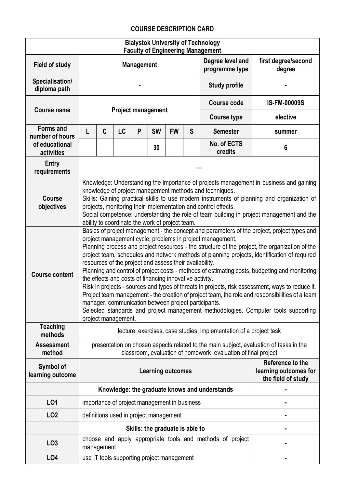## **COURSE DESCRIPTION CARD**

| <b>Bialystok University of Technology</b><br><b>Faculty of Engineering Management</b> |                                                                                                                                                                                                                                                                                                                                                                                                                                                                                                                                                                                                                                                                                                                                                                                                                                                                                                                                                               |                                 |           |                   |                                              |                                                                                             |   |                                                                    |                               |  |  |
|---------------------------------------------------------------------------------------|---------------------------------------------------------------------------------------------------------------------------------------------------------------------------------------------------------------------------------------------------------------------------------------------------------------------------------------------------------------------------------------------------------------------------------------------------------------------------------------------------------------------------------------------------------------------------------------------------------------------------------------------------------------------------------------------------------------------------------------------------------------------------------------------------------------------------------------------------------------------------------------------------------------------------------------------------------------|---------------------------------|-----------|-------------------|----------------------------------------------|---------------------------------------------------------------------------------------------|---|--------------------------------------------------------------------|-------------------------------|--|--|
| <b>Field of study</b>                                                                 |                                                                                                                                                                                                                                                                                                                                                                                                                                                                                                                                                                                                                                                                                                                                                                                                                                                                                                                                                               |                                 |           | <b>Management</b> |                                              |                                                                                             |   | Degree level and<br>programme type                                 | first degree/second<br>degree |  |  |
| Specialisation/<br>diploma path                                                       |                                                                                                                                                                                                                                                                                                                                                                                                                                                                                                                                                                                                                                                                                                                                                                                                                                                                                                                                                               |                                 |           |                   |                                              |                                                                                             |   | <b>Study profile</b>                                               |                               |  |  |
|                                                                                       |                                                                                                                                                                                                                                                                                                                                                                                                                                                                                                                                                                                                                                                                                                                                                                                                                                                                                                                                                               |                                 |           |                   |                                              |                                                                                             |   | <b>Course code</b>                                                 | <b>IS-FM-00009S</b>           |  |  |
| <b>Course name</b>                                                                    | <b>Project management</b>                                                                                                                                                                                                                                                                                                                                                                                                                                                                                                                                                                                                                                                                                                                                                                                                                                                                                                                                     |                                 |           |                   |                                              |                                                                                             |   | <b>Course type</b>                                                 | elective                      |  |  |
| <b>Forms and</b><br>number of hours                                                   | L                                                                                                                                                                                                                                                                                                                                                                                                                                                                                                                                                                                                                                                                                                                                                                                                                                                                                                                                                             | C                               | <b>LC</b> | P                 | <b>SW</b>                                    | <b>FW</b>                                                                                   | S | <b>Semester</b>                                                    | summer                        |  |  |
| of educational<br>activities                                                          |                                                                                                                                                                                                                                                                                                                                                                                                                                                                                                                                                                                                                                                                                                                                                                                                                                                                                                                                                               |                                 |           |                   | 30                                           |                                                                                             |   | No. of ECTS<br>credits                                             | 6                             |  |  |
| Entry<br>requirements                                                                 |                                                                                                                                                                                                                                                                                                                                                                                                                                                                                                                                                                                                                                                                                                                                                                                                                                                                                                                                                               |                                 |           |                   |                                              |                                                                                             |   |                                                                    |                               |  |  |
| <b>Course</b><br>objectives                                                           | Knowledge: Understanding the importance of projects management in business and gaining<br>knowledge of project management methods and techniques.<br>Skills: Gaining practical skills to use modern instruments of planning and organization of<br>projects, monitoring their implementation and control effects.<br>Social competence: understanding the role of team building in project management and the<br>ability to coordinate the work of project team.                                                                                                                                                                                                                                                                                                                                                                                                                                                                                              |                                 |           |                   |                                              |                                                                                             |   |                                                                    |                               |  |  |
| <b>Course content</b>                                                                 | Basics of project management - the concept and parameters of the project, project types and<br>project management cycle, problems in project management.<br>Planning process and project resources - the structure of the project, the organization of the<br>project team, schedules and network methods of planning projects, identification of required<br>resources of the project and assess their availability.<br>Planning and control of project costs - methods of estimating costs, budgeting and monitoring<br>the effects and costs of financing innovative activity.<br>Risk in projects - sources and types of threats in projects, risk assessment, ways to reduce it.<br>Project team management - the creation of project team, the role and responsibilities of a team<br>manager, communication between project participants.<br>Selected standards and project management methodologies. Computer tools supporting<br>project management. |                                 |           |                   |                                              |                                                                                             |   |                                                                    |                               |  |  |
| <b>Teaching</b><br>methods                                                            |                                                                                                                                                                                                                                                                                                                                                                                                                                                                                                                                                                                                                                                                                                                                                                                                                                                                                                                                                               |                                 |           |                   |                                              |                                                                                             |   | lecture, exercises, case studies, implementation of a project task |                               |  |  |
| <b>Assessment</b><br>method                                                           | presentation on chosen aspects related to the main subject, evaluation of tasks in the<br>classroom, evaluation of homework, evaluation of final project                                                                                                                                                                                                                                                                                                                                                                                                                                                                                                                                                                                                                                                                                                                                                                                                      |                                 |           |                   |                                              |                                                                                             |   |                                                                    |                               |  |  |
| Symbol of<br>learning outcome                                                         |                                                                                                                                                                                                                                                                                                                                                                                                                                                                                                                                                                                                                                                                                                                                                                                                                                                                                                                                                               |                                 |           |                   |                                              | Reference to the<br><b>Learning outcomes</b><br>learning outcomes for<br>the field of study |   |                                                                    |                               |  |  |
|                                                                                       |                                                                                                                                                                                                                                                                                                                                                                                                                                                                                                                                                                                                                                                                                                                                                                                                                                                                                                                                                               |                                 |           |                   |                                              |                                                                                             |   | Knowledge: the graduate knows and understands                      |                               |  |  |
| L01                                                                                   |                                                                                                                                                                                                                                                                                                                                                                                                                                                                                                                                                                                                                                                                                                                                                                                                                                                                                                                                                               |                                 |           |                   | importance of project management in business |                                                                                             |   |                                                                    |                               |  |  |
| LO <sub>2</sub>                                                                       |                                                                                                                                                                                                                                                                                                                                                                                                                                                                                                                                                                                                                                                                                                                                                                                                                                                                                                                                                               |                                 |           |                   | definitions used in project management       |                                                                                             |   |                                                                    |                               |  |  |
|                                                                                       |                                                                                                                                                                                                                                                                                                                                                                                                                                                                                                                                                                                                                                                                                                                                                                                                                                                                                                                                                               | Skills: the graduate is able to |           |                   |                                              |                                                                                             |   |                                                                    |                               |  |  |
| LO <sub>3</sub>                                                                       |                                                                                                                                                                                                                                                                                                                                                                                                                                                                                                                                                                                                                                                                                                                                                                                                                                                                                                                                                               | management                      |           |                   |                                              |                                                                                             |   | choose and apply appropriate tools and methods of project          |                               |  |  |
| LO <sub>4</sub>                                                                       |                                                                                                                                                                                                                                                                                                                                                                                                                                                                                                                                                                                                                                                                                                                                                                                                                                                                                                                                                               |                                 |           |                   | use IT tools supporting project management   |                                                                                             |   |                                                                    |                               |  |  |